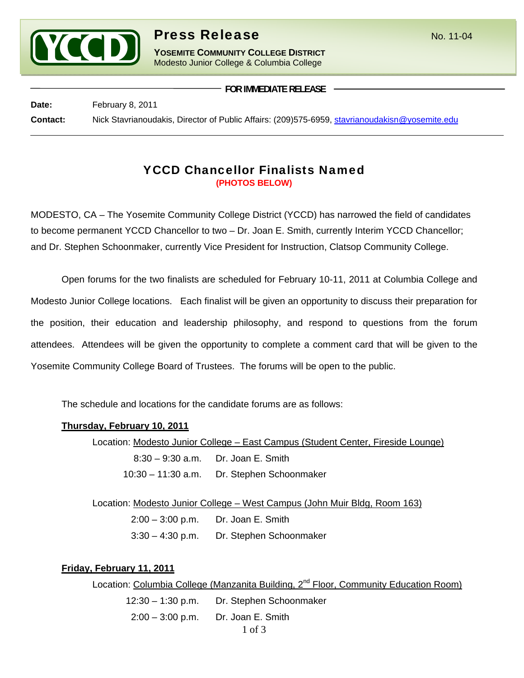

# **Press Release** No. 11-04

**YOSEMITE COMMUNITY COLLEGE DISTRICT** Modesto Junior College & Columbia College

**FOR IMMEDIATE RELEASE**

Date: February 8, 2011 **Contact:** Nick Stavrianoudakis, Director of Public Affairs: (209)575-6959, stavrianoudakisn@yosemite.edu

## YCCD Chancellor Finalists Named **(PHOTOS BELOW)**

MODESTO, CA – The Yosemite Community College District (YCCD) has narrowed the field of candidates to become permanent YCCD Chancellor to two – Dr. Joan E. Smith, currently Interim YCCD Chancellor; and Dr. Stephen Schoonmaker, currently Vice President for Instruction, Clatsop Community College.

Open forums for the two finalists are scheduled for February 10-11, 2011 at Columbia College and Modesto Junior College locations. Each finalist will be given an opportunity to discuss their preparation for the position, their education and leadership philosophy, and respond to questions from the forum attendees. Attendees will be given the opportunity to complete a comment card that will be given to the Yosemite Community College Board of Trustees. The forums will be open to the public.

The schedule and locations for the candidate forums are as follows:

#### **Thursday, February 10, 2011**

 Location: Modesto Junior College – East Campus (Student Center, Fireside Lounge) 8:30 – 9:30 a.m. Dr. Joan E. Smith 10:30 – 11:30 a.m. Dr. Stephen Schoonmaker

Location: Modesto Junior College – West Campus (John Muir Bldg, Room 163)

2:00 – 3:00 p.m. Dr. Joan E. Smith

3:30 – 4:30 p.m. Dr. Stephen Schoonmaker

#### **Friday, February 11, 2011**

Location: Columbia College (Manzanita Building, 2<sup>nd</sup> Floor, Community Education Room)

 12:30 – 1:30 p.m. Dr. Stephen Schoonmaker 2:00 – 3:00 p.m. Dr. Joan E. Smith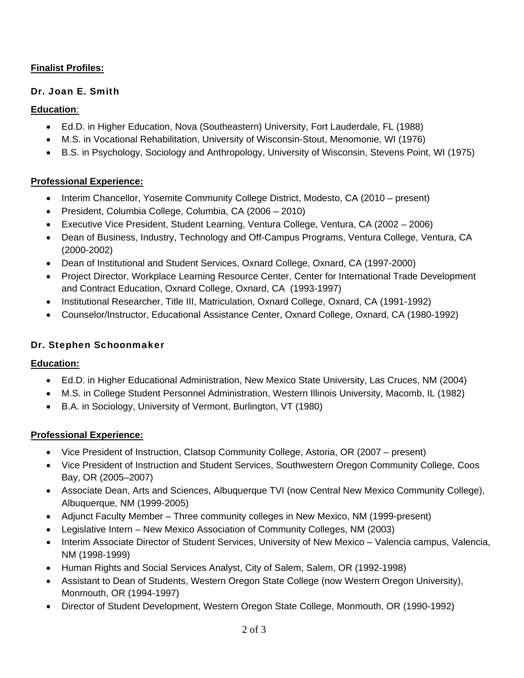### **Finalist Profiles:**

#### Dr. Joan E. Smith

#### **Education**:

- Ed.D. in Higher Education, Nova (Southeastern) University, Fort Lauderdale, FL (1988)
- M.S. in Vocational Rehabilitation, University of Wisconsin-Stout, Menomonie, WI (1976)
- B.S. in Psychology, Sociology and Anthropology, University of Wisconsin, Stevens Point, WI (1975)

#### **Professional Experience:**

- Interim Chancellor, Yosemite Community College District, Modesto, CA (2010 present)
- President, Columbia College, Columbia, CA (2006 2010)
- Executive Vice President, Student Learning, Ventura College, Ventura, CA (2002 2006)
- Dean of Business, Industry, Technology and Off-Campus Programs, Ventura College, Ventura, CA (2000-2002)
- Dean of Institutional and Student Services, Oxnard College, Oxnard, CA (1997-2000)
- Project Director, Workplace Learning Resource Center, Center for International Trade Development and Contract Education, Oxnard College, Oxnard, CA (1993-1997)
- Institutional Researcher, Title III, Matriculation, Oxnard College, Oxnard, CA (1991-1992)
- Counselor/Instructor, Educational Assistance Center, Oxnard College, Oxnard, CA (1980-1992)

#### Dr. Stephen Schoonmaker

#### **Education:**

- Ed.D. in Higher Educational Administration, New Mexico State University, Las Cruces, NM (2004)
- M.S. in College Student Personnel Administration, Western Illinois University, Macomb, IL (1982)
- B.A. in Sociology, University of Vermont, Burlington, VT (1980)

#### **Professional Experience:**

- Vice President of Instruction, Clatsop Community College, Astoria, OR (2007 present)
- Vice President of Instruction and Student Services, Southwestern Oregon Community College, Coos Bay, OR (2005–2007)
- Associate Dean, Arts and Sciences, Albuquerque TVI (now Central New Mexico Community College), Albuquerque, NM (1999-2005)
- Adjunct Faculty Member Three community colleges in New Mexico, NM (1999-present)
- Legislative Intern New Mexico Association of Community Colleges, NM (2003)
- Interim Associate Director of Student Services, University of New Mexico Valencia campus, Valencia, NM (1998-1999)
- Human Rights and Social Services Analyst, City of Salem, Salem, OR (1992-1998)
- Assistant to Dean of Students, Western Oregon State College (now Western Oregon University), Monmouth, OR (1994-1997)
- Director of Student Development, Western Oregon State College, Monmouth, OR (1990-1992)